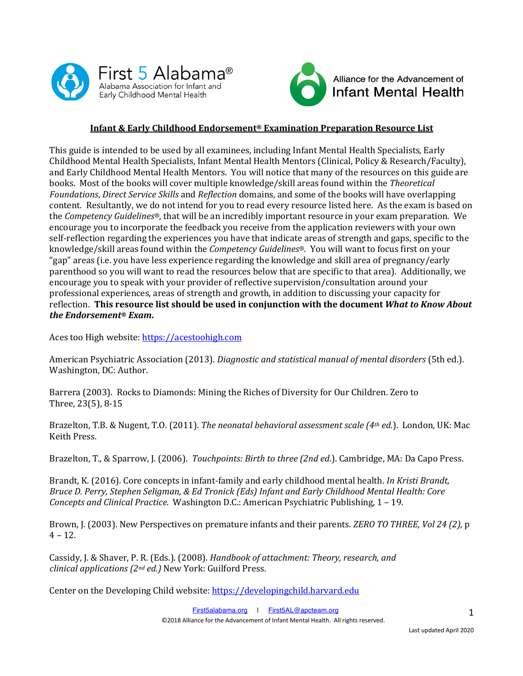



# **Infant & Early Childhood Endorsement® Examination Preparation Resource List**

This guide is intended to be used by all examinees, including Infant Mental Health Specialists, Early Childhood Mental Health Specialists, Infant Mental Health Mentors (Clinical, Policy & Research/Faculty), and Early Childhood Mental Health Mentors. You will notice that many of the resources on this guide are books. Most of the books will cover multiple knowledge/skill areas found within the *Theoretical Foundations, Direct Service Skills* and *Reflection* domains, and some of the books will have overlapping content. Resultantly, we do not intend for you to read every resource listed here. As the exam is based on the *Competency Guidelines*<sup>®</sup>, that will be an incredibly important resource in your exam preparation. We encourage you to incorporate the feedback you receive from the application reviewers with your own self-reflection regarding the experiences you have that indicate areas of strength and gaps, specific to the knowledge/skill areas found within the *Competency Guidelines®*. You will want to focus first on your "gap" areas (i.e. you have less experience regarding the knowledge and skill area of pregnancy/early parenthood so you will want to read the resources below that are specific to that area). Additionally, we encourage you to speak with your provider of reflective supervision/consultation around your professional experiences, areas of strength and growth, in addition to discussing your capacity for reflection. This resource list should be used in conjunction with the document *What to Know About the Endorsement® Exam***.**

Aces too High website: https://acestoohigh.com

American Psychiatric Association (2013). *Diagnostic and statistical manual of mental disorders* (5th ed.). Washington, DC: Author.

Barrera (2003). Rocks to Diamonds: Mining the Riches of Diversity for Our Children. Zero to Three, 23(5), 8-15

Brazelton, T.B. & Nugent, T.O. (2011). *The neonatal behavioral assessment scale (4<sup>th</sup> ed.*). London, UK: Mac Keith Press.

Brazelton, T., & Sparrow, J. (2006). *Touchpoints: Birth to three (2nd ed.*). Cambridge, MA: Da Capo Press.

Brandt, K. (2016). Core concepts in infant-family and early childhood mental health. *In Kristi Brandt*, *Bruce D. Perry, Stephen Seligman, & Ed Tronick (Eds) Infant and Early Childhood Mental Health: Core Concepts and Clinical Practice.* Washington D.C.: American Psychiatric Publishing, 1 - 19.

Brown, J. (2003). New Perspectives on premature infants and their parents. *ZERO TO THREE, Vol 24 (2)*, p  $4 - 12$ .

Cassidy, J. & Shaver, P. R. (Eds.). (2008). *Handbook of attachment: Theory, research, and clinical applications (2nd ed.)* New York: Guilford Press.

Center on the Developing Child website: https://developingchild.harvard.edu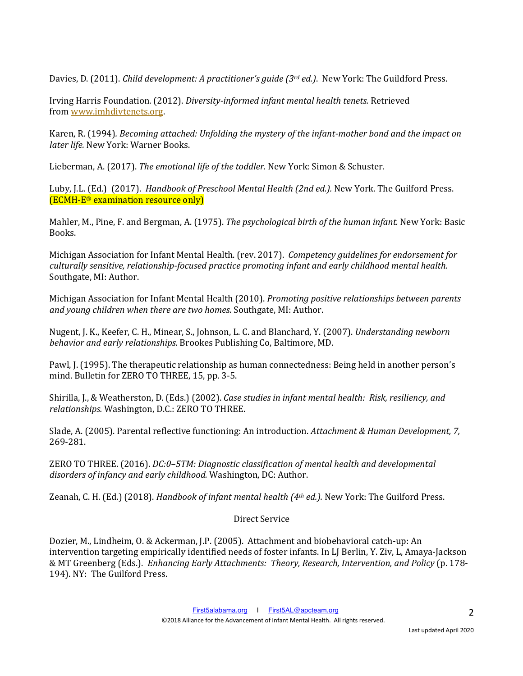Davies, D. (2011). *Child development: A practitioner's guide (3<sup>rd</sup> ed.)*. New York: The Guildford Press.

Irving Harris Foundation. (2012). *Diversity-informed infant mental health tenets.* Retrieved from www.imhdivtenets.org.

Karen, R. (1994). *Becoming attached: Unfolding the mystery of the infant-mother bond and the impact on later life.* New York: Warner Books.

Lieberman, A. (2017). *The emotional life of the toddler*. New York: Simon & Schuster.

Luby, J.L. (Ed.) (2017). *Handbook of Preschool Mental Health (2nd ed.)*. New York. The Guilford Press.  $[ECMH-E<sup>®</sup> examination resource only]$ 

Mahler, M., Pine, F. and Bergman, A. (1975). *The psychological birth of the human infant*. New York: Basic Books.

Michigan Association for Infant Mental Health. (rev. 2017). *Competency guidelines for endorsement for culturally sensitive, relationship-focused practice promoting infant and early childhood mental health.* Southgate, MI: Author.

Michigan Association for Infant Mental Health (2010). *Promoting positive relationships between parents* and young children when there are two homes. Southgate, MI: Author.

Nugent, J. K., Keefer, C. H., Minear, S., Johnson, L. C. and Blanchard, Y. (2007). *Understanding newborn behavior and early relationships.* Brookes Publishing Co, Baltimore, MD.

Pawl, J. (1995). The therapeutic relationship as human connectedness: Being held in another person's mind. Bulletin for ZERO TO THREE, 15, pp. 3-5.

Shirilla, J., & Weatherston, D. (Eds.) (2002). *Case studies in infant mental health: Risk, resiliency, and relationships.* Washington, D.C.: ZERO TO THREE.

Slade, A. (2005). Parental reflective functioning: An introduction. *Attachment & Human Development, 7,* 269-281.

ZERO TO THREE. (2016). *DC:0-5TM: Diagnostic classification of mental health and developmental* disorders of infancy and early childhood. Washington, DC: Author.

Zeanah, C. H. (Ed.) (2018). *Handbook of infant mental health (4<sup>th</sup> ed.)*. New York: The Guilford Press.

# Direct Service

Dozier, M., Lindheim, O. & Ackerman, J.P. (2005). Attachment and biobehavioral catch-up: An intervention targeting empirically identified needs of foster infants. In LJ Berlin, Y. Ziv, L, Amaya-Jackson & MT Greenberg (Eds.). *Enhancing Early Attachments: Theory, Research, Intervention, and Policy* (p. 178- 194). NY: The Guilford Press.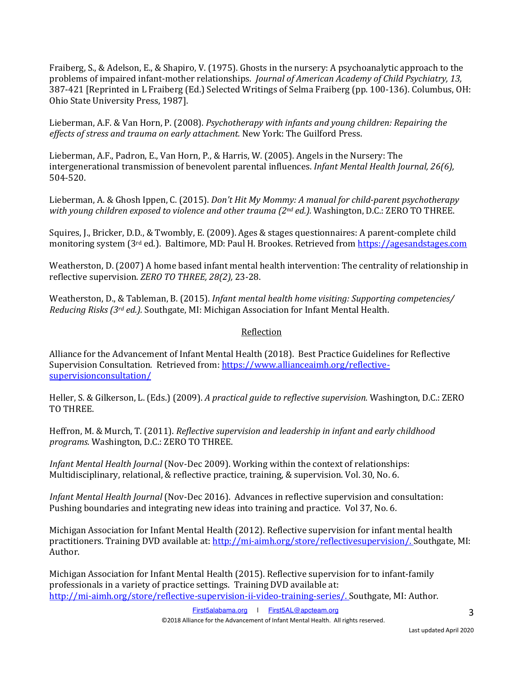Fraiberg, S., & Adelson, E., & Shapiro, V. (1975). Ghosts in the nursery: A psychoanalytic approach to the problems of impaired infant-mother relationships. *Journal of American Academy of Child Psychiatry, 13,* 387-421 [Reprinted in L Fraiberg (Ed.) Selected Writings of Selma Fraiberg (pp. 100-136). Columbus, OH: Ohio State University Press, 1987].

Lieberman, A.F. & Van Horn, P. (2008). *Psychotherapy with infants and young children: Repairing the effects of stress and trauma on early attachment.* New York: The Guilford Press.

Lieberman, A.F., Padron, E., Van Horn, P., & Harris, W. (2005). Angels in the Nursery: The intergenerational transmission of benevolent parental influences. *Infant Mental Health Journal, 26(6)*, 504-520.

Lieberman, A. & Ghosh Ippen, C. (2015). *Don't Hit My Mommy: A manual for child-parent psychotherapy with young children exposed to violence and other trauma (2<sup>nd</sup> ed.).* Washington, D.C.: ZERO TO THREE.

Squires, J., Bricker, D.D., & Twombly, E. (2009). Ages & stages questionnaires: A parent-complete child monitoring system (3<sup>rd</sup> ed.). Baltimore, MD: Paul H. Brookes. Retrieved from https://agesandstages.com

Weatherston, D. (2007) A home based infant mental health intervention: The centrality of relationship in reflective supervision. *ZERO TO THREE, 28(2), 23-28.* 

Weatherston, D., & Tableman, B. (2015). *Infant mental health home visiting: Supporting competencies/ Reducing Risks (3rd ed.).* Southgate, MI: Michigan Association for Infant Mental Health.

# Reflection

Alliance for the Advancement of Infant Mental Health (2018). Best Practice Guidelines for Reflective Supervision Consultation. Retrieved from: https://www.allianceaimh.org/reflectivesupervisionconsultation/

Heller, S. & Gilkerson, L. (Eds.) (2009). *A practical guide to reflective supervision*. Washington, D.C.: ZERO TO THREE.

Heffron, M. & Murch, T. (2011). *Reflective supervision and leadership in infant and early childhood programs.* Washington, D.C.: ZERO TO THREE.

*Infant Mental Health Journal* (Nov-Dec 2009). Working within the context of relationships: Multidisciplinary, relational, & reflective practice, training, & supervision. Vol. 30, No. 6.

*Infant Mental Health Journal* (Nov-Dec 2016). Advances in reflective supervision and consultation: Pushing boundaries and integrating new ideas into training and practice. Vol 37, No. 6.

Michigan Association for Infant Mental Health (2012). Reflective supervision for infant mental health practitioners. Training DVD available at: http://mi-aimh.org/store/reflectivesupervision/. Southgate, MI: Author.

Michigan Association for Infant Mental Health (2015). Reflective supervision for to infant-family professionals in a variety of practice settings. Training DVD available at: http://mi-aimh.org/store/reflective-supervision-ii-video-training-series/. Southgate, MI: Author.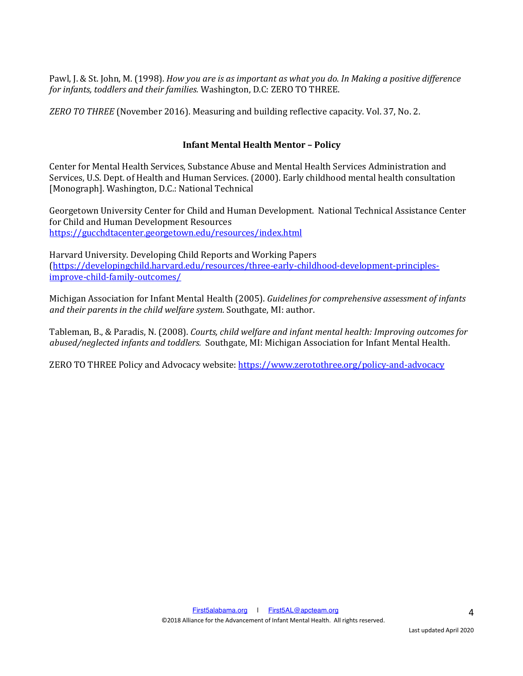Pawl, J. & St. John, M. (1998). *How you are is as important as what you do. In Making a positive difference for infants, toddlers and their families.* Washington, D.C: ZERO TO THREE.

*ZERO TO THREE* (November 2016). Measuring and building reflective capacity. Vol. 37, No. 2.

## **Infant Mental Health Mentor – Policy**

Center for Mental Health Services, Substance Abuse and Mental Health Services Administration and Services, U.S. Dept. of Health and Human Services. (2000). Early childhood mental health consultation [Monograph]. Washington, D.C.: National Technical

Georgetown University Center for Child and Human Development. National Technical Assistance Center for Child and Human Development Resources https://gucchdtacenter.georgetown.edu/resources/index.html

Harvard University. Developing Child Reports and Working Papers (https://developingchild.harvard.edu/resources/three-early-childhood-development-principlesimprove-child-family-outcomes/

Michigan Association for Infant Mental Health (2005). *Guidelines for comprehensive assessment of infants* and their parents in the child welfare system. Southgate, MI: author.

Tableman, B., & Paradis, N. (2008). *Courts, child welfare and infant mental health: Improving outcomes for abused/neglected infants and toddlers.* Southgate, MI: Michigan Association for Infant Mental Health.

ZERO TO THREE Policy and Advocacy website: https://www.zerotothree.org/policy-and-advocacy